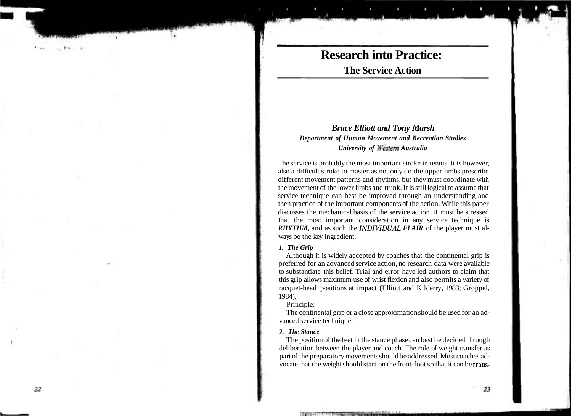## **Research into Practice: The Service Action**

## *Bruce Elliott and Tony Marsh Department of Human Movement and Recreation Studies University of Western Australia*

The service is probably the most important stroke in tennis. It is however, also a difficult stroke to master as not only do the upper limbs prescribe different movement patterns and rhythms, but they must coordinate with the movement of the lower limbs and trunk. It is still logical to assume that service technique can best be improved through an understanding and then practice of the important components of the action. While this paper discusses the mechanical basis of the service action, it must be stressed that the most important consideration in any service technique is *RHYTHM*, and as such the *INDIVIDUAL FLAIR* of the player must always be the key ingredient.

### *1. The Grip*

Although it is widely accepted by coaches that the continental grip is preferred for an advanced service action, no research data were available to substantiate this belief. Trial and error have led authors to claim that this grip allows maximum use of wrist flexion and also permits a variety of racquet-head positions at impact (Elliott and Kilderry, 1983; Groppel, 1984).

Principle:

The continental grip or a close approximation should be used for an advanced service technique.

## 2. *The Stance*

The position of the feet in the stance phase can best be decided through deliberation between the player and coach. The role of weight transfer as part of the preparatory movements should be addressed. Most coaches advocate that the weight should start on the front-foot so that it can be trans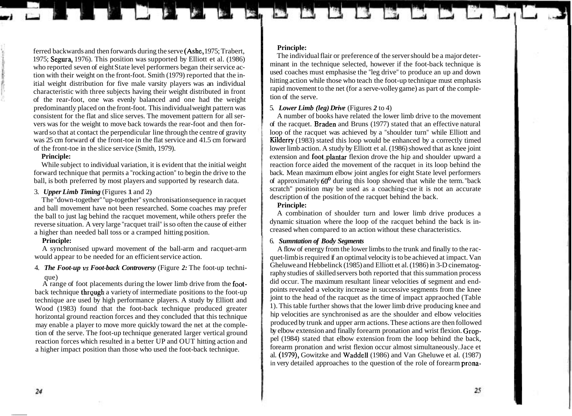ferred backwards and then forwards during the serve (Ashe, 1975; Trabert, 1975; Segura, 1976). This position was supported by Elliott et al. (1986) who reported seven of eight State level performers began their service action with their weight on the front-foot. Smith (1979) reported that the initial weight distribution for five male varsity players was an individual characteristic with three subjects having their weight distributed in front of the rear-foot, one was evenly balanced and one had the weight predominantly placed on the front-foot. This individual weight pattern was consistent for the flat and slice serves. The movement pattern for all servers was for the weight to move back towards the rear-foot and then forward so that at contact the perpendicular line through the centre of gravity was 25 cm forward of the front-toe in the flat service and 41.5 cm forward of the front-toe in the slice service (Smith, 1979).

## **Principle:**

While subject to individual variation, it is evident that the initial weight forward technique that permits a "rocking action" to begin the drive to the ball, is both preferred by most players and supported by research data.

## 3. *Upper Limb Timing* (Figures 1 and 2)

The "down-together" "up-together" synchronisation sequence in racquet and ball movement have not been researched. Some coaches may prefer the ball to just lag behind the racquet movement, while others prefer the reverse situation. A very large "racquet trail" is so often the cause of either a higher than needed ball toss or a cramped hitting position.

## **Principle:**

A synchronised upward movement of the ball-arm and racquet-arm would appear to be needed for an efficient service action.

## 4. *The Foot-up vs Foot-back Controversy* (Figure *2:* The foot-up technique)

A range of foot placements during the lower limb drive from the footback technique through a variety of intermediate positions to the foot-up technique are used by high performance players. A study by Elliott and Wood (1983) found that the foot-back technique produced greater horizontal ground reaction forces and they concluded that this technique may enable a player to move more quickly toward the net at the completion of the serve. The foot-up technique generated larger vertical ground reaction forces which resulted in a better UP and OUT hitting action and a higher impact position than those who used the foot-back technique.

## **Principle:**

The individual flair or preference of the server should be a major determinant in the technique selected, however if the foot-back technique is used coaches must emphasise the "leg drive" to produce an up and down hitting action while those who teach the foot-up technique must emphasis rapid movement to the net (for a serve-volley game) as part of the completion of the serve.

## <sup>I</sup>5. *Lower Limb (leg) Drive* (Figures *2* to 4)

A number of books have related the lower limb drive to the movement of the racquet. Braden and Bruns (1977) stated that an effective natural loop of the racquet was achieved by a "shoulder turn" while Elliott and Kilderry (1983) stated this loop would be enhanced by a correctly timed lower limb action. A study by Elliott et al. (1986) showed that as knee joint extension and foot plantar flexion drove the hip and shoulder upward a reaction force aided the movement of the racquet in its loop behind the back. Mean maximum elbow joint angles for eight State level performers of approximately 60' during this loop showed that while the term. "back scratch" position may be used as a coaching-cue it is not an accurate description of the position of the racquet behind the back.

## **Principle:**

A combination of shoulder turn and lower limb drive produces a dynamic situation where the loop of the racquet behind the back is increased when compared to an action without these characteristics.

## 6. *Sumntation of Body Segments*

A flow of energy from the lower limbs to the trunk and finally to the racquet-limb is required if an optimal velocity is to be achieved at impact. Van Gheluwe and Hebbelinck (1985) and Elliott et al. (1986) in 3-D cinematography studies of skilled servers both reported that this summation process did occur. The maximum resultant linear velocities of segment and endpoints revealed a velocity increase in successive segments from the knee joint to the head of the racquet as the time of impact appraoched (Table 1). This table further shows that the lower limb drive producing knee and hip velocities are synchronised as are the shoulder and elbow velocities produced by trunk and upper arm actions. These actions are then followed by elbow extension and finally forearm pronation and wrist flexion. Groppel (1984) stated that elbow extension from the loop behind the back, forearm pronation and wrist flexion occur almost simultaneously. Jace et al. (1979), Gowitzke and Waddell (1986) and Van Gheluwe et al. (1987) in very detailed approaches to the question of the role of forearm prona-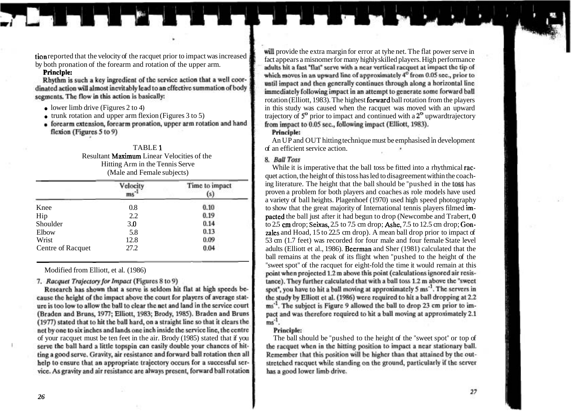Principle:<br>Rhythm is such a key ingredient of the service action that a well coordinated action will almost inevitably lead to an effective summation of body segments. The flow in this action is basically:

- 
- 
- flexion (Figures 5 to 9)

# Resultant **Maximum** Linear Velocities of the<br>Hitting Arm in the Tennis Serve

|                   | Velocity | Time to impact<br>(s |
|-------------------|----------|----------------------|
| Knee              | 0.8      | 0.10                 |
| Hip               | 2.2      | 0.19                 |
| Shoulder          | 3.0      | 0.14                 |
| Elbow             | 5.8      | 0.13                 |
| Wrist             | 12.8     | 0.09                 |
| Centre of Racquet | 27.2     | 0.04                 |

7. Racquet Trajectory for Impact (Figures 8 to 9)

Research has shown that a serve is seldom hit flat at high speeds because the height of the impact above the court for players of average stature is too low to allow the ball to clear the net and land in the service court (Braden and Bruns, 1977; Elliott, 1983; Brody, 1985). Braden and Bruns (1977) stated that to hit the ball hard, on a straight line so that it clears the net by one to six inches and lands one inch inside the service line, the centre of your racquet must be ten feet in the air. Brody (1985) stated that if you The ball should be "pushed to the height of the "sweet spot" or top of ting a good serve. Gravity, air resistance and forward ball rotation then all help to ensure that an appropriate trajectory occurs for a successful service. As gravity and air resistance are always present, forward ball rotation

tion reported that the velocity of the racquet prior to impact was increased<br>by both pronation of the forearm and rotation of the upper arm. which moves in an upward line of approximately 4<sup>0</sup> from 0.05 sec., prior to until impact and then generally continues through along a horizontal line immediately following impact in an attempt to generate some forward ball rotation (Elliott, 1983). The highest forward ball rotation from the players • lower limb drive (Figures 2 to 4) in this study was caused when the racquet was moved with an upward training trunk rotation and upper arm flexion (Figures 3 to 5) in this study was caused when the racquet was moved wit • trunk rotation and upper arm flexion (Figures 3 to 5) trajectory of  $5^{\circ}$  prior to impact and continued with a  $2^{\circ}$  upwardtrajectory  $\bullet$  forearm extension, forearm pronation, upper arm rotation and hand from impac

## **Principle:**

An UP and OUT hitting technique must be emphasised in development TABLE 1 **of an efficient service action** 

Here While it is imperative that the ball toss be fitted into a rhythmical rac-<br>
While it is imperative that the ball toss be fitted into a rhythmical rac-<br>
quet action, the height of this toss has led to disagreement with ing literature. The height that the ball should be "pushed in the toss has proven a problem for both players and coaches as role models have used a variety of ball heights. Plagenhoef (1970) used high speed photography to show that the great majority of International tennis players filmed im**pacted** the ball just after it had begun to drop (Newcombe and Trabert, 0 to 2.5 cm drop; Seixas, 2.5 to 7.5 cm drop; Ashe, 7.5 to 12.5 cm drop; Gonzales and Hoad,  $15$  to 22.5 cm drop). A mean ball drop prior to impact of 53 cm (1.7 feet) was recorded for four male and four female State level adults (Elliott et al., 1986). Beerman and Sher (1981) calculated that the ball remains at the peak of its flight when "pushed to the height of the "sweet spot" of the racquet for eight-fold the time it would remain at this Modified from Elliott, et al. (1986)<br>Modified from Elliott, et al. (1986) tance). They further calculated that with a ball toss 1.2 m above the "sweet" spot", you have to hit a ball moving at approximately 5 ms<sup>-1</sup>. The servers in the study by Elliott et al. (1986) were required to hit a ball dropping at 2.2 ms<sup>-1</sup>. The subject is Figure 9 allowed the ball to drop 23 cm prior to impact and was therefore required to hit a ball moving at approximately 2.1  $ms^{-1}$ 

## Principle:

Remember that this position will be higher than that attained by the outstretched racquet while standing on the ground, particularly if the server has a good lower limb drive.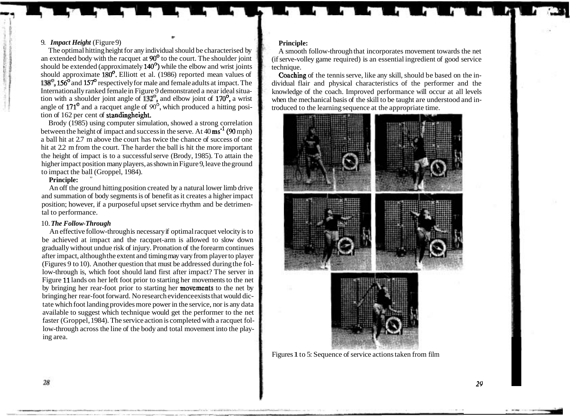## 9. *Impact Height* (Figure 9)

The optimal hitting height for any individual should be characterised by an extended body with the racquet at 90' to the court. The shoulder joint should be extended (approximately 140') while the elbow and wrist joints should approximate  $180^\circ$ . Elliott et al. (1986) reported mean values of 138<sup>°</sup>, 156<sup>°</sup> and 157<sup>°</sup> respectively for male and female adults at impact. The Internationally ranked female in Figure 9 demonstrated a near ideal situation with a shoulder joint angle of  $132^\circ$ , and elbow joint of  $170^\circ$ , a wrist angle of  $171^\circ$  and a racquet angle of  $90^\circ$ , which produced a hitting position of 162 per cent of standingheight.

\*

Brody (1985) using computer simulation, showed a strong correlation between the height of impact and success in the serve. At  $40 \text{ ms}^{-1}$  (90 mph) a ball hit at 2.7 m above the court has twice the chance of success of one hit at 2.2 m from the court. The harder the ball is hit the more important the height of impact is to a successful serve (Brody, 1985). To attain the higher impact position many players, as shown in Figure 9, leave the ground to impact the ball (Groppel, 1984).

## **Principle:**

An off the ground hitting position created by a natural lower limb drive and summation of body segments is of benefit as it creates a higher impact position; however, if a purposeful upset service rhythm and be detrimental to performance.

## 10. *The Follow-Through*

An effective follow-through is necessary if optimal racquet velocity is to be achieved at impact and the racquet-arm is allowed to slow down gradually without undue risk of injury. Pronation of the forearm continues after impact, although the extent and timing may vary from player to player (Figures 9 to 10). Another question that must be addressed during the follow-through is, which foot should land first after impact? The server in Figure 11 lands on her left foot prior to starting her movements to the net by bringing her rear-foot prior to starting her movements to the net by bringing her rear-foot forward. No research evidence exists that would dictate which foot landing provides more power in the service, nor is any data available to suggest which technique would get the performer to the net faster (Groppel, 1984). The service action is completed with a racquet follow-through across the line of the body and total movement into the playing area.

## **Principle:**

A smooth follow-through that incorporates movement towards the net (if serve-volley game required) is an essential ingredient of good service technique.

Coaching of the tennis serve, like any skill, should be based on the individual flair and physical characteristics of the performer and the knowledge of the coach. Improved performance will occur at all levels when the mechanical basis of the skill to be taught are understood and introduced to the learning sequence at the appropriate time.



Figures 1 to 5: Sequence of service actions taken from film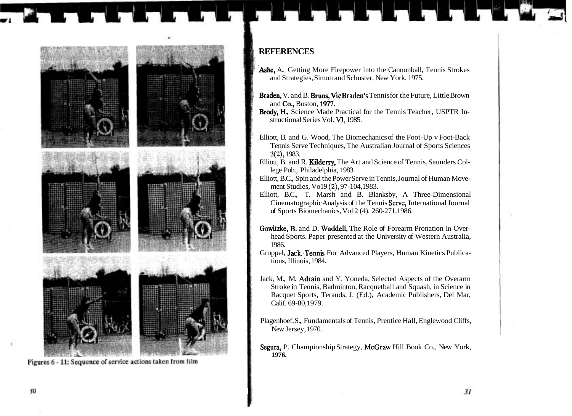

Figures 6 - 11: Sequence of service actions taken from film

## ; **REFERENCES**

- r Ashe, A., Getting More Firepower into the Cannonball, Tennis Strokes and Strategies, Simon and Schuster, New York, 1975.
- Braden, V. and B. Bruns, Vic Braden's Tennis for the Future, Little Brown and Go., Boston, 197.
- Brody, H., Science Made Practical for the Tennis Teacher, USPTR Instructional Series Vol. **VI,** 1985.
- Elliott, B. and G. Wood, The Biomechanics of the Foot-Up v Foot-Back Tennis Serve Techniques, The Australian Journal of Sports Sciences **3(2),** 1983.
- Elliott, B. and R. Kilderry, The Art and Science of Tennis, Saunders College Pub., Philadelphia, 1983.
- Elliott, B.C., Spin and the Power Serve in Tennis, Journal of Human Movement Studies, Vo19 **(Z),** 97-104,1983.
- Elliott, B.C., T. Marsh and B. Blanksby, A Three-Dimensional Cinematographic Analysis of the Tennis Serve, International Journal of Sports Biomechanics, Vo12 (4). 260-271,1986.
- Gowitzke, B. and D. Waddell, The Role of Forearm Pronation in Overhead Sports. Paper presented at the University of Western Australia, 1986.
- Groppel, Jack:Tennis For Advanced Players, Human Kinetics Publications, Illinois, 1984.
- Jack, M., M. Adrain and Y. Yoneda, Selected Aspects of the Overarm Stroke in Tennis, Badminton, Racquetball and Squash, in Science in Racquet Sports, Terauds, J. (Ed.), Academic Publishers, Del Mar, Calif. 69-80,1979.
- Plagenhoef, S., Fundamentals of Tennis, Prentice Hall, Englewood Cliffs, New Jersey, 1970.
- Segura, P. Championship Strategy, McGraw Hill Book Co., New York, **1976.**